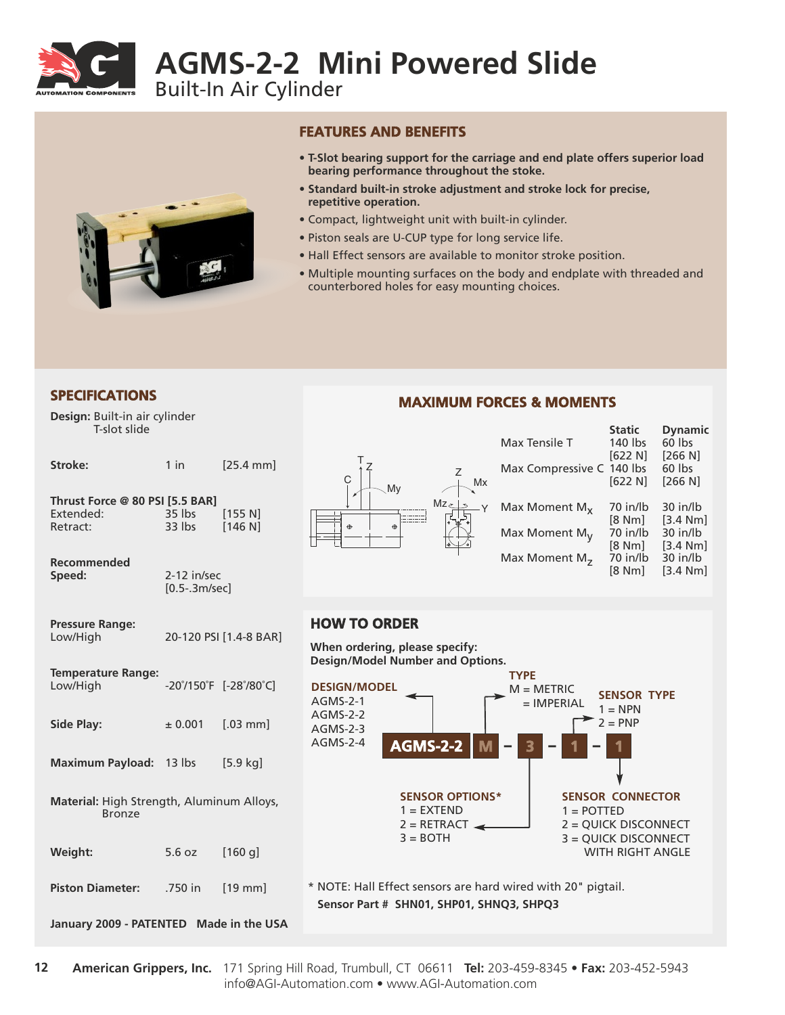

# **AGMS-2-2 Mini Powered Slide**

Built-In Air Cylinder



#### **FEATURES AND BENEFITS**

- **T-Slot bearing support for the carriage and end plate offers superior load bearing performance throughout the stoke.**
- **Standard built-in stroke adjustment and stroke lock for precise, repetitive operation.**
- Compact, lightweight unit with built-in cylinder.
- Piston seals are U-CUP type for long service life.
- Hall Effect sensors are available to monitor stroke position.
- Multiple mounting surfaces on the body and endplate with threaded and counterbored holes for easy mounting choices.

## **SPECIFICATIONS**

**Design:** Built-in air cylinder T-slot slide

| Stroke:                                                    | $1$ in                         | $[25.4 \text{ mm}]$    |  |  |
|------------------------------------------------------------|--------------------------------|------------------------|--|--|
| Thrust Force @ 80 PSI [5.5 BAR]<br>Extended:<br>Retract:   | 35 lbs<br>33 lbs               | [155 N]<br>[146 N]     |  |  |
| Recommended<br>Speed:                                      | 2-12 in/sec<br>$[0.5-.3m/sec]$ |                        |  |  |
| <b>Pressure Range:</b><br>Low/High                         |                                | 20-120 PSI [1.4-8 BAR] |  |  |
| <b>Temperature Range:</b><br>Low/High                      |                                | -20°/150°F [-28°/80°C] |  |  |
| <b>Side Play:</b>                                          | ± 0.001                        | $[.03$ mm              |  |  |
| Maximum Payload: 13 lbs                                    |                                | $[5.9$ kg              |  |  |
| Material: High Strength, Aluminum Alloys,<br><b>Bronze</b> |                                |                        |  |  |
| Weight:                                                    | 5.6 oz                         | [160 g]                |  |  |
| <b>Piston Diameter:</b>                                    | .750 in                        | $[19$ mm]              |  |  |
| January 2009 - PATENTED Made in the USA                    |                                |                        |  |  |

## **MAXIMUM FORCES & MOMENTS**



|                           | <b>JLALIL</b> | Dynamic  |
|---------------------------|---------------|----------|
| Max Tensile T             | 140 lbs       | 60 lbs   |
|                           | [622 N]       | [266 N]  |
| Max Compressive C 140 lbs |               | 60 lbs   |
|                           | [622 N]       | [266 N]  |
| Max Moment $M_{x}$        | 70 in/lb      | 30 in/lb |
|                           | [8 Nm]        | [3.4 Nm] |
| Max Moment $M_V$          | 70 in/lb      | 30 in/lb |
|                           | [8 Nm]        | [3.4 Nm] |
| Max Moment $M_{7}$        | 70 in/lb      | 30 in/lb |
|                           | [8 Nm]        | [3.4 Nm] |

**Static Dynamic**

## **HOW TO ORDER**

**When ordering, please specify: Design/Model Number and Options.**



**Sensor Part # SHN01, SHP01, SHNQ3, SHPQ3**